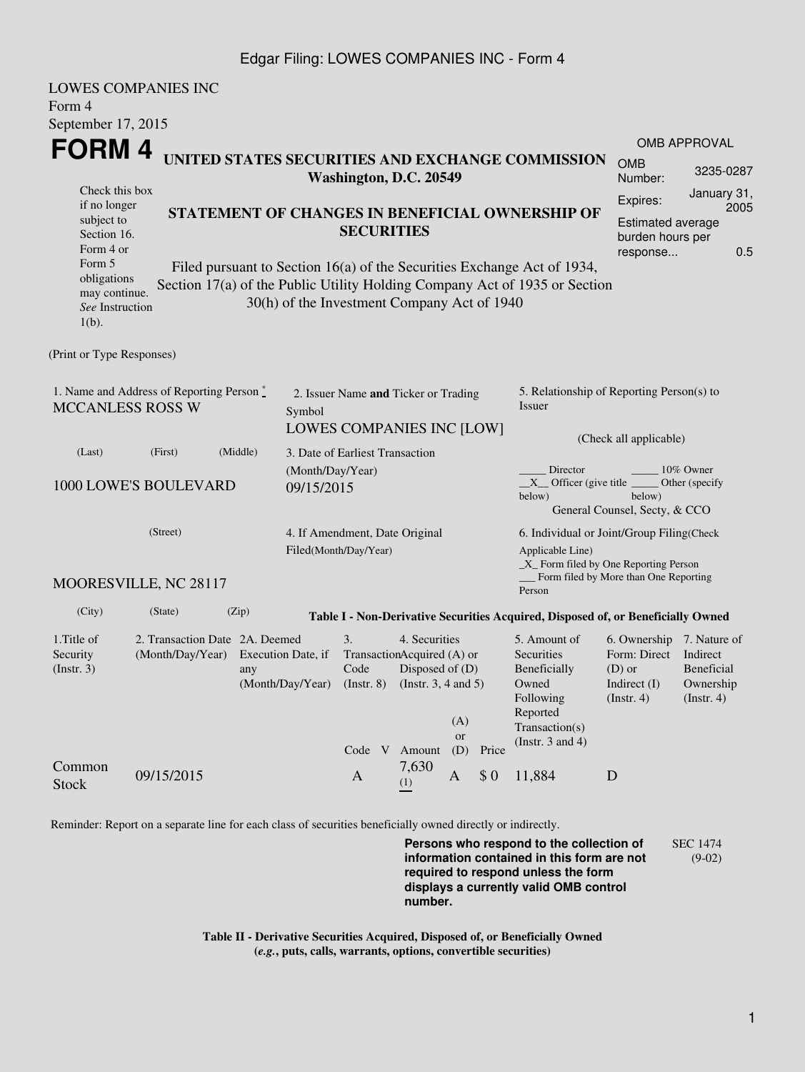## Edgar Filing: LOWES COMPANIES INC - Form 4

| <b>LOWES COMPANIES INC</b>                                                       |                                  |          |                                                     |                                 |                            |                      |                                           |                                                                                  |                                       |                               |  |  |
|----------------------------------------------------------------------------------|----------------------------------|----------|-----------------------------------------------------|---------------------------------|----------------------------|----------------------|-------------------------------------------|----------------------------------------------------------------------------------|---------------------------------------|-------------------------------|--|--|
| Form 4                                                                           |                                  |          |                                                     |                                 |                            |                      |                                           |                                                                                  |                                       |                               |  |  |
| September 17, 2015                                                               |                                  |          |                                                     |                                 |                            |                      |                                           |                                                                                  |                                       |                               |  |  |
| FORM 4                                                                           |                                  |          |                                                     |                                 |                            |                      |                                           |                                                                                  |                                       | <b>OMB APPROVAL</b>           |  |  |
| UNITED STATES SECURITIES AND EXCHANGE COMMISSION<br>Washington, D.C. 20549       |                                  |          |                                                     |                                 |                            |                      |                                           |                                                                                  | <b>OMB</b><br>Number:                 | 3235-0287                     |  |  |
| Check this box                                                                   |                                  |          |                                                     |                                 |                            |                      |                                           | Expires:                                                                         | January 31,                           |                               |  |  |
| if no longer<br>subject to                                                       |                                  |          |                                                     |                                 |                            |                      |                                           | STATEMENT OF CHANGES IN BENEFICIAL OWNERSHIP OF                                  | 2005<br><b>Estimated average</b>      |                               |  |  |
|                                                                                  | <b>SECURITIES</b><br>Section 16. |          |                                                     |                                 |                            |                      |                                           |                                                                                  | burden hours per                      |                               |  |  |
| Form 4 or                                                                        |                                  |          |                                                     |                                 |                            |                      |                                           |                                                                                  | response                              | 0.5                           |  |  |
| Form 5<br>obligations                                                            |                                  |          |                                                     |                                 |                            |                      |                                           | Filed pursuant to Section 16(a) of the Securities Exchange Act of 1934,          |                                       |                               |  |  |
| may continue.                                                                    |                                  |          |                                                     |                                 |                            |                      |                                           | Section 17(a) of the Public Utility Holding Company Act of 1935 or Section       |                                       |                               |  |  |
| See Instruction<br>$1(b)$ .                                                      |                                  |          | 30(h) of the Investment Company Act of 1940         |                                 |                            |                      |                                           |                                                                                  |                                       |                               |  |  |
| (Print or Type Responses)                                                        |                                  |          |                                                     |                                 |                            |                      |                                           |                                                                                  |                                       |                               |  |  |
| 1. Name and Address of Reporting Person*<br>2. Issuer Name and Ticker or Trading |                                  |          |                                                     |                                 |                            |                      | 5. Relationship of Reporting Person(s) to |                                                                                  |                                       |                               |  |  |
| <b>MCCANLESS ROSS W</b><br>Symbol                                                |                                  |          |                                                     |                                 |                            |                      |                                           | Issuer                                                                           |                                       |                               |  |  |
|                                                                                  |                                  |          |                                                     | LOWES COMPANIES INC [LOW]       |                            |                      |                                           | (Check all applicable)                                                           |                                       |                               |  |  |
| (Last)                                                                           | (First)                          | (Middle) |                                                     | 3. Date of Earliest Transaction |                            |                      |                                           |                                                                                  |                                       |                               |  |  |
|                                                                                  |                                  |          |                                                     | (Month/Day/Year)                |                            |                      |                                           | Director<br>10% Owner                                                            |                                       |                               |  |  |
|                                                                                  | 1000 LOWE'S BOULEVARD            |          | 09/15/2015                                          |                                 |                            |                      |                                           | $X$ Officer (give title<br>below)                                                | below)                                | Other (specify                |  |  |
|                                                                                  |                                  |          |                                                     |                                 |                            |                      |                                           |                                                                                  | General Counsel, Secty, & CCO         |                               |  |  |
|                                                                                  | (Street)                         |          |                                                     | 4. If Amendment, Date Original  |                            |                      |                                           | 6. Individual or Joint/Group Filing (Check                                       |                                       |                               |  |  |
|                                                                                  |                                  |          |                                                     | Filed(Month/Day/Year)           |                            |                      |                                           | Applicable Line)                                                                 |                                       |                               |  |  |
|                                                                                  |                                  |          |                                                     |                                 |                            |                      |                                           | $X$ Form filed by One Reporting Person                                           |                                       |                               |  |  |
|                                                                                  | MOORESVILLE, NC 28117            |          |                                                     |                                 |                            |                      |                                           | Person                                                                           | Form filed by More than One Reporting |                               |  |  |
| (City)                                                                           | (State)                          | (Zip)    |                                                     |                                 |                            |                      |                                           | Table I - Non-Derivative Securities Acquired, Disposed of, or Beneficially Owned |                                       |                               |  |  |
| 1. Title of                                                                      | 2. Transaction Date 2A. Deemed   |          |                                                     | 3.                              | 4. Securities              |                      |                                           | 5. Amount of                                                                     | 6. Ownership                          | 7. Nature of                  |  |  |
| Security                                                                         | (Month/Day/Year)                 |          | Execution Date, if                                  |                                 | TransactionAcquired (A) or |                      |                                           | Securities                                                                       | Form: Direct                          | Indirect                      |  |  |
| (Insert. 3)                                                                      |                                  | any      | Disposed of (D)<br>Code<br>(Instr. $3, 4$ and $5$ ) |                                 |                            |                      |                                           | Beneficially<br>Owned                                                            | $(D)$ or                              | Beneficial                    |  |  |
|                                                                                  |                                  |          | (Month/Day/Year)                                    | $($ Instr. $8)$                 |                            |                      |                                           | Following                                                                        | Indirect $(I)$<br>$($ Instr. 4 $)$    | Ownership<br>$($ Instr. 4 $)$ |  |  |
|                                                                                  |                                  |          |                                                     |                                 |                            |                      |                                           | Reported                                                                         |                                       |                               |  |  |
|                                                                                  |                                  |          |                                                     |                                 |                            | (A)<br><sub>or</sub> |                                           | Transaction(s)                                                                   |                                       |                               |  |  |
|                                                                                  |                                  |          |                                                     |                                 | Code V Amount              | (D)                  | Price                                     | (Instr. $3$ and $4$ )                                                            |                                       |                               |  |  |
| Common<br>Stock                                                                  | 09/15/2015                       |          |                                                     | A                               | 7,630<br>(1)               | A                    | \$0                                       | 11,884                                                                           | D                                     |                               |  |  |

Reminder: Report on a separate line for each class of securities beneficially owned directly or indirectly.

**Persons who respond to the collection of information contained in this form are not required to respond unless the form displays a currently valid OMB control number.** SEC 1474 (9-02)

**Table II - Derivative Securities Acquired, Disposed of, or Beneficially Owned (***e.g.***, puts, calls, warrants, options, convertible securities)**